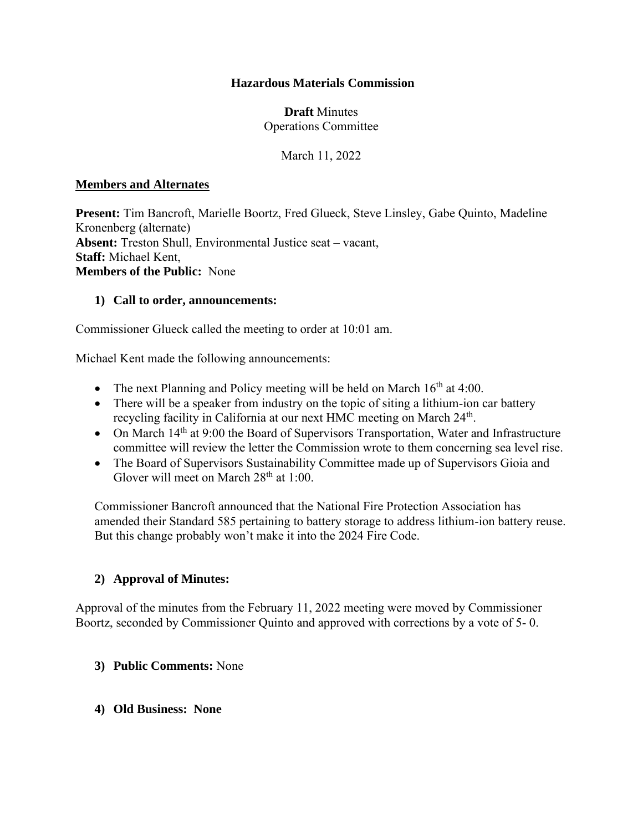### **Hazardous Materials Commission**

### **Draft** Minutes Operations Committee

March 11, 2022

### **Members and Alternates**

**Present:** Tim Bancroft, Marielle Boortz, Fred Glueck, Steve Linsley, Gabe Quinto, Madeline Kronenberg (alternate) **Absent:** Treston Shull, Environmental Justice seat – vacant, **Staff:** Michael Kent, **Members of the Public:** None

### **1) Call to order, announcements:**

Commissioner Glueck called the meeting to order at 10:01 am.

Michael Kent made the following announcements:

- The next Planning and Policy meeting will be held on March  $16<sup>th</sup>$  at 4:00.
- There will be a speaker from industry on the topic of siting a lithium-ion car battery recycling facility in California at our next HMC meeting on March 24<sup>th</sup>.
- On March 14<sup>th</sup> at 9:00 the Board of Supervisors Transportation, Water and Infrastructure committee will review the letter the Commission wrote to them concerning sea level rise.
- The Board of Supervisors Sustainability Committee made up of Supervisors Gioia and Glover will meet on March  $28<sup>th</sup>$  at 1:00.

Commissioner Bancroft announced that the National Fire Protection Association has amended their Standard 585 pertaining to battery storage to address lithium-ion battery reuse. But this change probably won't make it into the 2024 Fire Code.

### **2) Approval of Minutes:**

Approval of the minutes from the February 11, 2022 meeting were moved by Commissioner Boortz, seconded by Commissioner Quinto and approved with corrections by a vote of 5- 0.

#### **3) Public Comments:** None

**4) Old Business: None**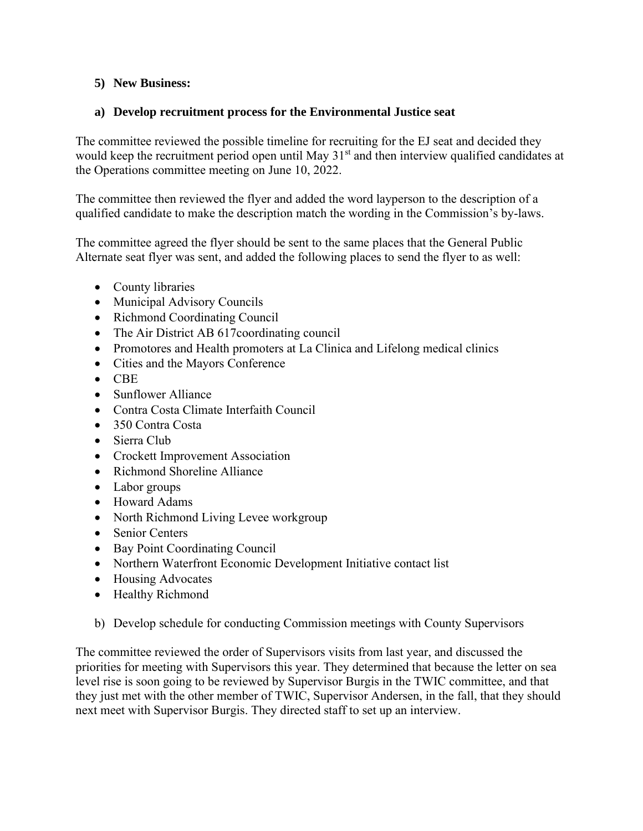# **5) New Business:**

# **a) Develop recruitment process for the Environmental Justice seat**

The committee reviewed the possible timeline for recruiting for the EJ seat and decided they would keep the recruitment period open until May 31<sup>st</sup> and then interview qualified candidates at the Operations committee meeting on June 10, 2022.

The committee then reviewed the flyer and added the word layperson to the description of a qualified candidate to make the description match the wording in the Commission's by-laws.

The committee agreed the flyer should be sent to the same places that the General Public Alternate seat flyer was sent, and added the following places to send the flyer to as well:

- County libraries
- Municipal Advisory Councils
- Richmond Coordinating Council
- The Air District AB 617 coordinating council
- Promotores and Health promoters at La Clinica and Lifelong medical clinics
- Cities and the Mayors Conference
- CBE
- Sunflower Alliance
- Contra Costa Climate Interfaith Council
- 350 Contra Costa
- Sierra Club
- Crockett Improvement Association
- Richmond Shoreline Alliance
- Labor groups
- Howard Adams
- North Richmond Living Levee workgroup
- Senior Centers
- Bay Point Coordinating Council
- Northern Waterfront Economic Development Initiative contact list
- Housing Advocates
- Healthy Richmond
- b) Develop schedule for conducting Commission meetings with County Supervisors

The committee reviewed the order of Supervisors visits from last year, and discussed the priorities for meeting with Supervisors this year. They determined that because the letter on sea level rise is soon going to be reviewed by Supervisor Burgis in the TWIC committee, and that they just met with the other member of TWIC, Supervisor Andersen, in the fall, that they should next meet with Supervisor Burgis. They directed staff to set up an interview.